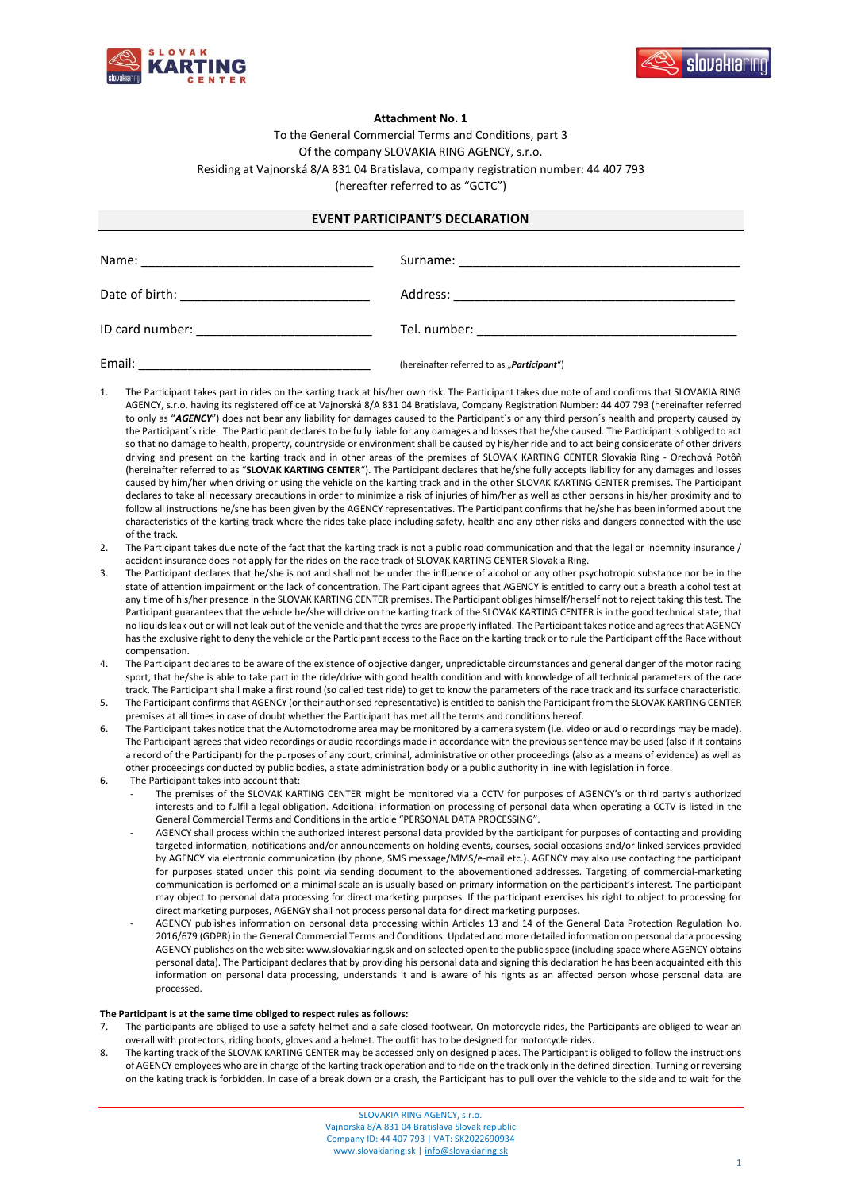



## **Attachment No. 1**

To the General Commercial Terms and Conditions, part 3 Of the company SLOVAKIA RING AGENCY, s.r.o. Residing at Vajnorská 8/A 831 04 Bratislava, company registration number: 44 407 793 (hereafter referred to as "GCTC")

## **EVENT PARTICIPANT'S DECLARATION**

| Email: | (hereinafter referred to as "Participant") |
|--------|--------------------------------------------|

- 1. The Participant takes part in rides on the karting track at his/her own risk. The Participant takes due note of and confirms that SLOVAKIA RING AGENCY, s.r.o. having its registered office at Vajnorská 8/A 831 04 Bratislava, Company Registration Number: 44 407 793 (hereinafter referred to only as "*AGENCY*") does not bear any liability for damages caused to the Participant´s or any third person´s health and property caused by the Participant´s ride. The Participant declares to be fully liable for any damages and losses that he/she caused. The Participant is obliged to act so that no damage to health, property, countryside or environment shall be caused by his/her ride and to act being considerate of other drivers driving and present on the karting track and in other areas of the premises of SLOVAK KARTING CENTER Slovakia Ring - Orechová Potôň (hereinafter referred to as "**SLOVAK KARTING CENTER**"). The Participant declares that he/she fully accepts liability for any damages and losses caused by him/her when driving or using the vehicle on the karting track and in the other SLOVAK KARTING CENTER premises. The Participant declares to take all necessary precautions in order to minimize a risk of injuries of him/her as well as other persons in his/her proximity and to follow all instructions he/she has been given by the AGENCY representatives. The Participant confirms that he/she has been informed about the characteristics of the karting track where the rides take place including safety, health and any other risks and dangers connected with the use of the track.
- 2. The Participant takes due note of the fact that the karting track is not a public road communication and that the legal or indemnity insurance / accident insurance does not apply for the rides on the race track of SLOVAK KARTING CENTER Slovakia Ring.
- 3. The Participant declares that he/she is not and shall not be under the influence of alcohol or any other psychotropic substance nor be in the state of attention impairment or the lack of concentration. The Participant agrees that AGENCY is entitled to carry out a breath alcohol test at any time of his/her presence in the SLOVAK KARTING CENTER premises. The Participant obliges himself/herself not to reject taking this test. The Participant guarantees that the vehicle he/she will drive on the karting track of the SLOVAK KARTING CENTER is in the good technical state, that no liquids leak out or will not leak out of the vehicle and that the tyres are properly inflated. The Participant takes notice and agrees that AGENCY has the exclusive right to deny the vehicle or the Participant access to the Race on the karting track or to rule the Participant off the Race without compensation.
- 4. The Participant declares to be aware of the existence of objective danger, unpredictable circumstances and general danger of the motor racing sport, that he/she is able to take part in the ride/drive with good health condition and with knowledge of all technical parameters of the race track. The Participant shall make a first round (so called test ride) to get to know the parameters of the race track and its surface characteristic.
- 5. The Participant confirms that AGENCY (or their authorised representative) is entitled to banish the Participant from the SLOVAK KARTING CENTER premises at all times in case of doubt whether the Participant has met all the terms and conditions hereof.
- 6. The Participant takes notice that the Automotodrome area may be monitored by a camera system (i.e. video or audio recordings may be made). The Participant agrees that video recordings or audio recordings made in accordance with the previous sentence may be used (also if it contains a record of the Participant) for the purposes of any court, criminal, administrative or other proceedings (also as a means of evidence) as well as other proceedings conducted by public bodies, a state administration body or a public authority in line with legislation in force.
- 6. The Participant takes into account that:
	- The premises of the SLOVAK KARTING CENTER might be monitored via a CCTV for purposes of AGENCY's or third party's authorized interests and to fulfil a legal obligation. Additional information on processing of personal data when operating a CCTV is listed in the General Commercial Terms and Conditions in the article "PERSONAL DATA PROCESSING".
	- AGENCY shall process within the authorized interest personal data provided by the participant for purposes of contacting and providing targeted information, notifications and/or announcements on holding events, courses, social occasions and/or linked services provided by AGENCY via electronic communication (by phone, SMS message/MMS/e-mail etc.). AGENCY may also use contacting the participant for purposes stated under this point via sending document to the abovementioned addresses. Targeting of commercial-marketing communication is perfomed on a minimal scale an is usually based on primary information on the participant's interest. The participant may object to personal data processing for direct marketing purposes. If the participant exercises his right to object to processing for direct marketing purposes, AGENGY shall not process personal data for direct marketing purposes.
	- AGENCY publishes information on personal data processing within Articles 13 and 14 of the General Data Protection Regulation No. 2016/679 (GDPR) in the General Commercial Terms and Conditions. Updated and more detailed information on personal data processing AGENCY publishes on the web site: www.slovakiaring.sk and on selected open to the public space (including space where AGENCY obtains personal data). The Participant declares that by providing his personal data and signing this declaration he has been acquainted eith this information on personal data processing, understands it and is aware of his rights as an affected person whose personal data are processed.

## **The Participant is at the same time obliged to respect rules as follows:**

- The participants are obliged to use a safety helmet and a safe closed footwear. On motorcycle rides, the Participants are obliged to wear an overall with protectors, riding boots, gloves and a helmet. The outfit has to be designed for motorcycle rides.
- 8. The karting track of the SLOVAK KARTING CENTER may be accessed only on designed places. The Participant is obliged to follow the instructions of AGENCY employees who are in charge of the karting track operation and to ride on the track only in the defined direction. Turning or reversing on the kating track is forbidden. In case of a break down or a crash, the Participant has to pull over the vehicle to the side and to wait for the